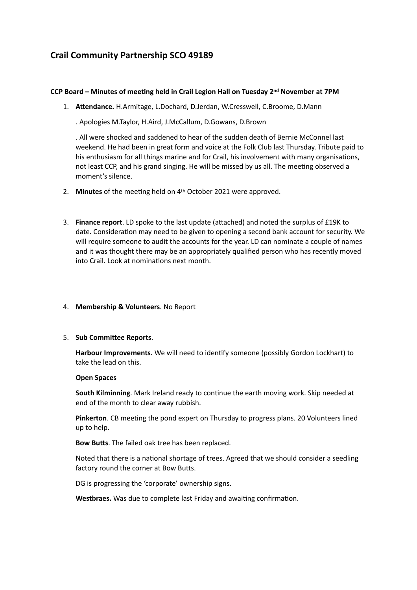# **Crail Community Partnership SCO 49189**

## **CCP Board – Minutes of meeting held in Crail Legion Hall on Tuesday 2nd November at 7PM**

1. **Attendance.** H.Armitage, L.Dochard, D.Jerdan, W.Cresswell, C.Broome, D.Mann

. Apologies M.Taylor, H.Aird, J.McCallum, D.Gowans, D.Brown

. All were shocked and saddened to hear of the sudden death of Bernie McConnel last weekend. He had been in great form and voice at the Folk Club last Thursday. Tribute paid to his enthusiasm for all things marine and for Crail, his involvement with many organisations, not least CCP, and his grand singing. He will be missed by us all. The meeting observed a moment's silence.

- 2. **Minutes** of the meeting held on 4th October 2021 were approved.
- 3. **Finance report**. LD spoke to the last update (attached) and noted the surplus of £19K to date. Consideration may need to be given to opening a second bank account for security. We will require someone to audit the accounts for the year. LD can nominate a couple of names and it was thought there may be an appropriately qualified person who has recently moved into Crail. Look at nominations next month.

### 4. **Membership & Volunteers**. No Report

### 5. **Sub Committee Reports**.

**Harbour Improvements.** We will need to identify someone (possibly Gordon Lockhart) to take the lead on this.

### **Open Spaces**

**South Kilminning**. Mark Ireland ready to continue the earth moving work. Skip needed at end of the month to clear away rubbish.

**Pinkerton**. CB meeting the pond expert on Thursday to progress plans. 20 Volunteers lined up to help.

**Bow Butts**. The failed oak tree has been replaced.

Noted that there is a national shortage of trees. Agreed that we should consider a seedling factory round the corner at Bow Butts.

DG is progressing the 'corporate' ownership signs.

**Westbraes.** Was due to complete last Friday and awaiting confirmation.